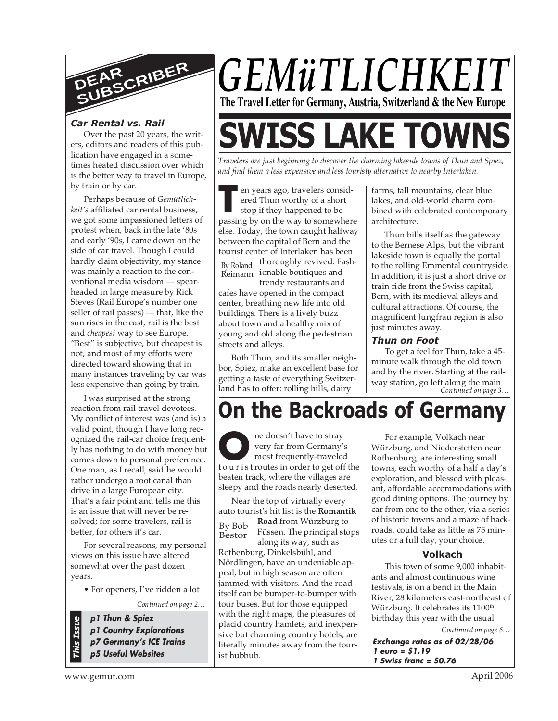

## *Car Rental vs. Rail*

Over the past 20 years, the writers, editors and readers of this publication have engaged in a sometimes heated discussion over which is the better way to travel in Europe, by train or by car.

Perhaps because of *Gemütlichkeit's* affiliated car rental business, we got some impassioned letters of protest when, back in the late '80s and early '90s, I came down on the side of car travel. Though I could hardly claim objectivity, my stance was mainly a reaction to the conventional media wisdom — spearheaded in large measure by Rick Steves (Rail Europe's number one seller of rail passes) — that, like the sun rises in the east, rail is the best and *cheapest* way to see Europe. "Best" is subjective, but cheapest is not, and most of my efforts were directed toward showing that in many instances traveling by car was less expensive than going by train.

I was surprised at the strong reaction from rail travel devotees. My conflict of interest was (and is) a valid point, though I have long recognized the rail-car choice frequently has nothing to do with money but comes down to personal preference. One man, as I recall, said he would rather undergo a root canal than drive in a large European city. That's a fair point and tells me this is an issue that will never be resolved; for some travelers, rail is better, for others it's car.

For several reasons, my personal views on this issue have altered somewhat over the past dozen years.

• For openers, I've ridden a lot

*Continued on page 2…*

**p1 Thun & Spiez p1 Country Explorations p7 Germany's ICE Trains**

**p5 Useful Websites**



# **SWISS LAKE TOWNS**

*Travelers are just beginning to discover the charming lakeside towns of Thun and Spiez, and find them a less expensive and less touristy alternative to nearby Interlaken.*

**THE EXECUTE SERVING SERVING SERVING SERVISTOR SERVISTOR PRESSING by on the way to somewhere** *.* ered Thun worthy of a short en years ago, travelers considstop if they happened to be else. Today, the town caught halfway between the capital of Bern and the tourist center of Interlaken has been

By Roland

thoroughly revived. Fash-Reimann) ionable boutiques and trendy restaurants and

cafes have opened in the compact center, breathing new life into old buildings. There is a lively buzz about town and a healthy mix of young and old along the pedestrian streets and alleys.

Both Thun, and its smaller neighbor, Spiez, make an excellent base for getting a taste of everything Switzerland has to offer: rolling hills, dairy

farms, tall mountains, clear blue lakes, and old-world charm combined with celebrated contemporary architecture.

Thun bills itself as the gateway to the Bernese Alps, but the vibrant lakeside town is equally the portal to the rolling Emmental countryside. In addition, it is just a short drive or train ride from the Swiss capital, Bern, with its medieval alleys and cultural attractions. Of course, the magnificent Jungfrau region is also just minutes away.

## *Thun on Foot*

*Continued on page 3…* To get a feel for Thun, take a 45 minute walk through the old town and by the river. Starting at the railway station, go left along the main

## **On the Backroads of Germany**

ne doesn't have to stray very far from Germany's most frequently-traveled The doesn't have to stray<br>
very far from Germany's<br>
most frequently-traveled<br>
to u r i s troutes in order to get off the beaten track, where the villages are sleepy and the roads nearly deserted.

Near the top of virtually every auto tourist's hit list is the **Romantik Road** from Würzburg to Füssen. The principal stops along its way, such as Rothenburg, Dinkelsbühl, and Nördlingen, have an undeniable appeal, but in high season are often jammed with visitors. And the road itself can be bumper-to-bumper with tour buses. But for those equipped with the right maps, the pleasures of placid country hamlets, and inexpensive but charming country hotels, are literally minutes away from the tourist hubbub. By Bob Bestor

For example, Volkach near Würzburg, and Niederstetten near Rothenburg, are interesting small towns, each worthy of a half a day's exploration, and blessed with pleasant, affordable accommodations with good dining options. The journey by car from one to the other, via a series of historic towns and a maze of backroads, could take as little as 75 minutes or a full day, your choice.

## **Volkach**

*Continued on page 6…* This town of some 9,000 inhabitants and almost continuous wine festivals, is on a bend in the Main River, 28 kilometers east-northeast of Würzburg. It celebrates its 1100<sup>th</sup> birthday this year with the usual

**Exchange rates as of 02/28/06 1 euro = \$1.19 1 Swiss franc = \$0.76**

*This Issue*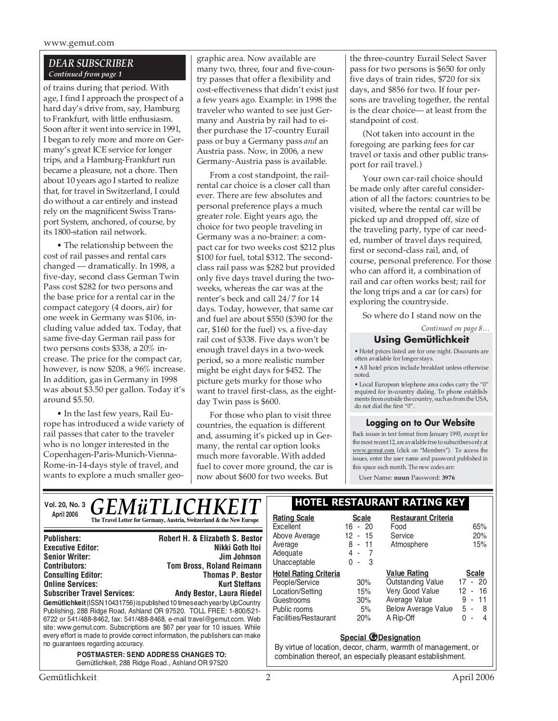## *DEAR SUBSCRIBER Continued from page 1*

of trains during that period. With age, I find I approach the prospect of a hard day's drive from, say, Hamburg to Frankfurt, with little enthusiasm. Soon after it went into service in 1991, I began to rely more and more on Germany's great ICE service for longer trips, and a Hamburg-Frankfurt run became a pleasure, not a chore. Then about 10 years ago I started to realize that, for travel in Switzerland, I could do without a car entirely and instead rely on the magnificent Swiss Transport System, anchored, of course, by its 1800-station rail network.

• The relationship between the cost of rail passes and rental cars changed — dramatically. In 1998, a five-day, second class German Twin Pass cost \$282 for two persons and the base price for a rental car in the compact category (4 doors, air) for one week in Germany was \$106, including value added tax. Today, that same five-day German rail pass for two persons costs \$338, a 20% increase. The price for the compact car, however, is now \$208, a 96% increase. In addition, gas in Germany in 1998 was about \$3.50 per gallon. Today it's around \$5.50.

• In the last few years, Rail Europe has introduced a wide variety of rail passes that cater to the traveler who is no longer interested in the Copenhagen-Paris-Munich-Vienna-Rome-in-14-days style of travel, and wants to explore a much smaller geo-

every effort is made to provide correct information, the publishers can make

*POSTMASTER: SEND ADDRESS CHANGES TO:* Gemütlichkeit, 288 Ridge Road., Ashland OR 97520

graphic area. Now available are many two, three, four and five-country passes that offer a flexibility and cost-effectiveness that didn't exist just a few years ago. Example: in 1998 the traveler who wanted to see just Germany and Austria by rail had to either purchase the 17-country Eurail pass or buy a Germany pass *and* an Austria pass. Now, in 2006, a new Germany-Austria pass is available.

From a cost standpoint, the railrental car choice is a closer call than ever. There are few absolutes and personal preference plays a much greater role. Eight years ago, the choice for two people traveling in Germany was a no-brainer: a compact car for two weeks cost \$212 plus \$100 for fuel, total \$312. The secondclass rail pass was \$282 but provided only five days travel during the twoweeks, whereas the car was at the renter's beck and call 24/7 for 14 days. Today, however, that same car and fuel are about \$550 (\$390 for the car, \$160 for the fuel) vs. a five-day rail cost of \$338. Five days won't be enough travel days in a two-week period, so a more realistic number might be eight days for \$452. The picture gets murky for those who want to travel first-class, as the eightday Twin pass is \$600.

For those who plan to visit three countries, the equation is different and, assuming it's picked up in Germany, the rental car option looks much more favorable. With added fuel to cover more ground, the car is now about \$600 for two weeks. But

the three-country Eurail Select Saver pass for two persons is \$650 for only five days of train rides, \$720 for six days, and \$856 for two. If four persons are traveling together, the rental is the clear choice— at least from the standpoint of cost.

(Not taken into account in the foregoing are parking fees for car travel or taxis and other public transport for rail travel.)

Your own car-rail choice should be made only after careful consideration of all the factors: countries to be visited, where the rental car will be picked up and dropped off, size of the traveling party, type of car needed, number of travel days required, first or second-class rail, and, of course, personal preference. For those who can afford it, a combination of rail and car often works best; rail for the long trips and a car (or cars) for exploring the countryside.

So where do I stand now on the

*Continued on page 8…*

## **Using Gemütlichkeit**

• Hotel prices listed are for one night. Discounts are often available for longer stays.

• All hotel prices include breakfast unless otherwise noted.

• Local European telephone area codes carry the "0" required for in-country dialing. To phone establishments from outside the country, such as from the USA, do not dial the first "0".

## **Logging on to Our Website**

Back issues in text format from January 1993, except for the most recent 12, are available free to subscribers only at www.gemut.com (click on "Members"). To access the issues, enter the user name and password published in this space each month. The new codes are:

User Name: **nuun** Password: **3976**

| <b>GEMÜTLICHKEIT</b><br>Vol. 20, No. 3                                                          |                                                                                                                                                                                                                                                                                                                                                                                         | <b>HOTEL RESTAURANT RATING KEY</b>                                                                                        |                                           |                                                                                                                                |                                                                           |
|-------------------------------------------------------------------------------------------------|-----------------------------------------------------------------------------------------------------------------------------------------------------------------------------------------------------------------------------------------------------------------------------------------------------------------------------------------------------------------------------------------|---------------------------------------------------------------------------------------------------------------------------|-------------------------------------------|--------------------------------------------------------------------------------------------------------------------------------|---------------------------------------------------------------------------|
| April 2006                                                                                      | The Travel Letter for Germany, Austria, Switzerland & the New Europe                                                                                                                                                                                                                                                                                                                    | <b>Rating Scale</b><br>Excellent                                                                                          | <b>Scale</b><br>$16 - 20$                 | <b>Restaurant Criteria</b><br>Food                                                                                             | 65%                                                                       |
| <b>Publishers:</b><br><b>Executive Editor:</b><br><b>Senior Writer:</b><br><b>Contributors:</b> | Robert H. & Elizabeth S. Bestor<br>Nikki Goth Itoi<br>Jim Johnson<br><b>Tom Bross, Roland Reimann</b>                                                                                                                                                                                                                                                                                   | Above Average<br>Average<br>Adequate<br>Unacceptable                                                                      | $12 - 15$<br>$8 - 11$<br>4 - 7<br>$0 - 3$ | Service<br>Atmosphere                                                                                                          | 20%<br>15%                                                                |
| <b>Consulting Editor:</b><br><b>Online Services:</b><br><b>Subscriber Travel Services:</b>      | <b>Thomas P. Bestor</b><br><b>Kurt Steffans</b><br>Andy Bestor, Laura Riedel<br>Gemütlichkeit (ISSN 10431756) is published 10 times each year by UpCountry<br>Publishing, 288 Ridge Road, Ashland OR 97520. TOLL FREE: 1-800/521-<br>6722 or 541/488-8462, fax: 541/488-8468, e-mail travel@gemut.com. Web<br>site: www.gemut.com. Subscriptions are \$67 per year for 10 issues. While | <b>Hotel Rating Criteria</b><br>People/Service<br>Location/Setting<br>Guestrooms<br>Public rooms<br>Facilities/Restaurant | 30%<br>15%<br>30%<br>5%<br>20%            | <b>Value Rating</b><br><b>Outstanding Value</b><br>Very Good Value<br>Average Value<br><b>Below Average Value</b><br>A Rip-Off | <b>Scale</b><br>$17 - 20$<br>- 16<br>12<br>$9 - 11$<br>$5 - 8$<br>$0 - 4$ |

## **Special @Designation**

By virtue of location, decor, charm, warmth of management, or combination thereof, an especially pleasant establishment.

no guarantees regarding accuracy.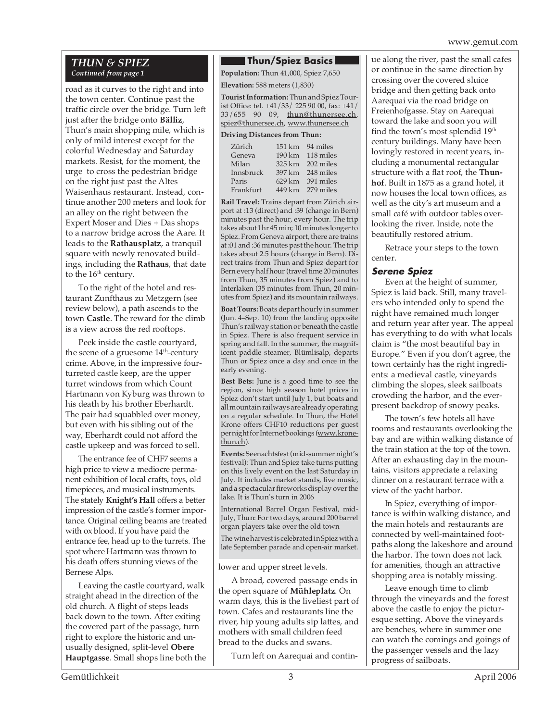## *THUN & SPIEZ Continued from page 1*

road as it curves to the right and into the town center. Continue past the traffic circle over the bridge. Turn left just after the bridge onto **Bälliz**, Thun's main shopping mile, which is only of mild interest except for the colorful Wednesday and Saturday markets. Resist, for the moment, the urge to cross the pedestrian bridge on the right just past the Altes Waisenhaus restaurant. Instead, continue another 200 meters and look for an alley on the right between the Expert Moser and Dies + Das shops to a narrow bridge across the Aare. It leads to the **Rathausplatz**, a tranquil square with newly renovated buildings, including the **Rathaus**, that date to the 16<sup>th</sup> century.

To the right of the hotel and restaurant Zunfthaus zu Metzgern (see review below), a path ascends to the town **Castle**. The reward for the climb is a view across the red rooftops.

Peek inside the castle courtyard, the scene of a gruesome  $14<sup>th</sup>$ -century crime. Above, in the impressive fourturreted castle keep, are the upper turret windows from which Count Hartmann von Kyburg was thrown to his death by his brother Eberhardt. The pair had squabbled over money, but even with his sibling out of the way, Eberhardt could not afford the castle upkeep and was forced to sell.

The entrance fee of CHF7 seems a high price to view a mediocre permanent exhibition of local crafts, toys, old timepieces, and musical instruments. The stately **Knight's Hall** offers a better impression of the castle's former importance. Original ceiling beams are treated with ox blood. If you have paid the entrance fee, head up to the turrets. The spot where Hartmann was thrown to his death offers stunning views of the Bernese Alps.

Leaving the castle courtyard, walk straight ahead in the direction of the old church. A flight of steps leads back down to the town. After exiting the covered part of the passage, turn right to explore the historic and unusually designed, split-level **Obere Hauptgasse**. Small shops line both the

## **Thun/Spiez Basics**

**Population:** Thun 41,000, Spiez 7,650 **Elevation:** 588 meters (1,830)

**Tourist Information:** Thun and Spiez Tourist Office: tel. +41/33/ 225 90 00, fax: +41/ 33/655 90 09, thun@thunersee.ch, spiez@thunersee.ch, www.thunersee.ch

#### **Driving Distances from Thun:**

|        | 151 km 94 miles  |
|--------|------------------|
|        | 190 km 118 miles |
|        | 325 km 202 miles |
| 397 km | 248 miles        |
| 629 km | 391 miles        |
|        | 449 km 279 miles |
|        |                  |

**Rail Travel:** Trains depart from Zürich airport at :13 (direct) and :39 (change in Bern) minutes past the hour, every hour. The trip takes about 1hr 45 min; 10 minutes longer to Spiez. From Geneva airport, there are trains at :01 and :36 minutes past the hour. The trip takes about 2.5 hours (change in Bern). Direct trains from Thun and Spiez depart for Bern every half hour (travel time 20 minutes from Thun, 35 minutes from Spiez) and to Interlaken (35 minutes from Thun, 20 minutes from Spiez) and its mountain railways.

**Boat Tours:** Boats depart hourly in summer (Jun. 4–Sep. 10) from the landing opposite Thun's railway station or beneath the castle in Spiez. There is also frequent service in spring and fall. In the summer, the magnificent paddle steamer, Blümlisalp, departs Thun or Spiez once a day and once in the early evening.

**Best Bets:** June is a good time to see the region, since high season hotel prices in Spiez don't start until July 1, but boats and all mountain railways are already operating on a regular schedule. In Thun, the Hotel Krone offers CHF10 reductions per guest per night for Internet bookings (www.kronethun.ch).

**Events:** Seenachtsfest (mid-summer night's festival): Thun and Spiez take turns putting on this lively event on the last Saturday in July. It includes market stands, live music, and a spectacular fireworks display over the lake. It is Thun's turn in 2006

International Barrel Organ Festival, mid-July, Thun: For two days, around 200 barrel organ players take over the old town

The wine harvest is celebrated in Spiez with a late September parade and open-air market.

## lower and upper street levels.

A broad, covered passage ends in the open square of **Mühleplatz**. On warm days, this is the liveliest part of town. Cafes and restaurants line the river, hip young adults sip lattes, and mothers with small children feed bread to the ducks and swans.

Turn left on Aarequai and contin-

ue along the river, past the small cafes or continue in the same direction by crossing over the covered sluice bridge and then getting back onto Aarequai via the road bridge on Freienhofgasse. Stay on Aarequai toward the lake and soon you will find the town's most splendid 19<sup>th</sup> century buildings. Many have been lovingly restored in recent years, including a monumental rectangular structure with a flat roof, the **Thunhof**. Built in 1875 as a grand hotel, it now houses the local town offices, as well as the city's art museum and a small café with outdoor tables overlooking the river. Inside, note the beautifully restored atrium.

Retrace your steps to the town center.

## **Serene Spiez**

Even at the height of summer, Spiez is laid back. Still, many travelers who intended only to spend the night have remained much longer and return year after year. The appeal has everything to do with what locals claim is "the most beautiful bay in Europe." Even if you don't agree, the town certainly has the right ingredients: a medieval castle, vineyards climbing the slopes, sleek sailboats crowding the harbor, and the everpresent backdrop of snowy peaks.

The town's few hotels all have rooms and restaurants overlooking the bay and are within walking distance of the train station at the top of the town. After an exhausting day in the mountains, visitors appreciate a relaxing dinner on a restaurant terrace with a view of the yacht harbor.

In Spiez, everything of importance is within walking distance, and the main hotels and restaurants are connected by well-maintained footpaths along the lakeshore and around the harbor. The town does not lack for amenities, though an attractive shopping area is notably missing.

Leave enough time to climb through the vineyards and the forest above the castle to enjoy the picturesque setting. Above the vineyards are benches, where in summer one can watch the comings and goings of the passenger vessels and the lazy progress of sailboats.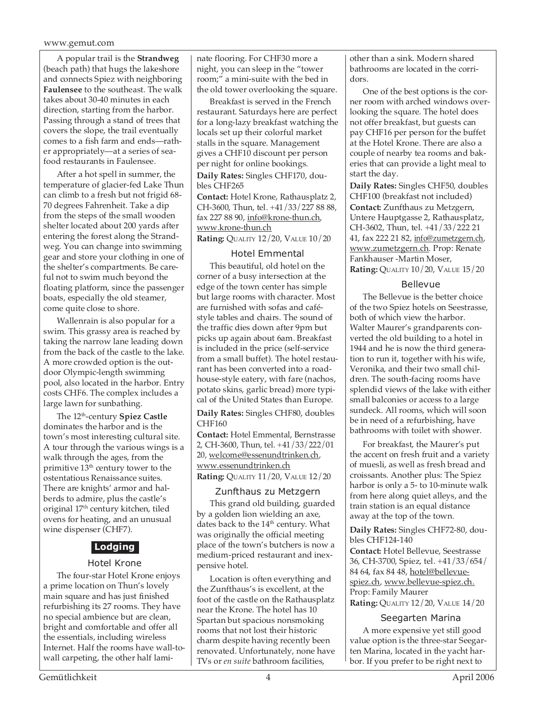A popular trail is the **Strandweg** (beach path) that hugs the lakeshore and connects Spiez with neighboring **Faulensee** to the southeast. The walk takes about 30-40 minutes in each direction, starting from the harbor. Passing through a stand of trees that covers the slope, the trail eventually comes to a fish farm and ends—rather appropriately—at a series of seafood restaurants in Faulensee.

After a hot spell in summer, the temperature of glacier-fed Lake Thun can climb to a fresh but not frigid 68- 70 degrees Fahrenheit. Take a dip from the steps of the small wooden shelter located about 200 yards after entering the forest along the Strandweg. You can change into swimming gear and store your clothing in one of the shelter's compartments. Be careful not to swim much beyond the floating platform, since the passenger boats, especially the old steamer, come quite close to shore.

Wallenrain is also popular for a swim. This grassy area is reached by taking the narrow lane leading down from the back of the castle to the lake. A more crowded option is the outdoor Olympic-length swimming pool, also located in the harbor. Entry costs CHF6. The complex includes a large lawn for sunbathing.

The 12th-century **Spiez Castle** dominates the harbor and is the town's most interesting cultural site. A tour through the various wings is a walk through the ages, from the primitive  $13<sup>th</sup>$  century tower to the ostentatious Renaissance suites. There are knights' armor and halberds to admire, plus the castle's original 17th century kitchen, tiled ovens for heating, and an unusual wine dispenser (CHF7).

## **Lodging**

## Hotel Krone

The four-star Hotel Krone enjoys a prime location on Thun's lovely main square and has just finished refurbishing its 27 rooms. They have no special ambience but are clean, bright and comfortable and offer all the essentials, including wireless Internet. Half the rooms have wall-towall carpeting, the other half laminate flooring. For CHF30 more a night, you can sleep in the "tower room;" a mini-suite with the bed in the old tower overlooking the square.

Breakfast is served in the French restaurant. Saturdays here are perfect for a long-lazy breakfast watching the locals set up their colorful market stalls in the square. Management gives a CHF10 discount per person per night for online bookings.

**Daily Rates:** Singles CHF170, doubles CHF265

**Contact:** Hotel Krone, Rathausplatz 2, CH-3600, Thun, tel. +41/33/227 88 88, fax 227 88 90, info@krone-thun.ch, www.krone-thun.ch

**Rating:** QUALITY 12/20, VALUE 10/20

## Hotel Emmental

This beautiful, old hotel on the corner of a busy intersection at the edge of the town center has simple but large rooms with character. Most are furnished with sofas and caféstyle tables and chairs. The sound of the traffic dies down after 9pm but picks up again about 6am. Breakfast is included in the price (self-service from a small buffet). The hotel restaurant has been converted into a roadhouse-style eatery, with fare (nachos, potato skins, garlic bread) more typical of the United States than Europe.

**Daily Rates:** Singles CHF80, doubles CHF160

**Contact:** Hotel Emmental, Bernstrasse 2, CH-3600, Thun, tel. +41/33/222/01 20, welcome@essenundtrinken.ch, www.essenundtrinken.ch **Rating:** QUALITY 11/20, VALUE 12/20

## Zunfthaus zu Metzgern

This grand old building, guarded by a golden lion wielding an axe, dates back to the 14<sup>th</sup> century. What was originally the official meeting place of the town's butchers is now a medium-priced restaurant and inexpensive hotel.

Location is often everything and the Zunfthaus's is excellent, at the foot of the castle on the Rathausplatz near the Krone. The hotel has 10 Spartan but spacious nonsmoking rooms that not lost their historic charm despite having recently been renovated. Unfortunately, none have TVs or *en suite* bathroom facilities,

other than a sink. Modern shared bathrooms are located in the corridors.

One of the best options is the corner room with arched windows overlooking the square. The hotel does not offer breakfast, but guests can pay CHF16 per person for the buffet at the Hotel Krone. There are also a couple of nearby tea rooms and bakeries that can provide a light meal to start the day.

**Daily Rates:** Singles CHF50, doubles CHF100 (breakfast not included) **Contact:** Zunfthaus zu Metzgern, Untere Hauptgasse 2, Rathausplatz, CH-3602, Thun, tel. +41/33/222 21 41, fax 222 21 82, info@zumetzgern.ch, www.zumetzgern.ch. Prop: Renate Fankhauser -Martin Moser, **Rating:** QUALITY 10/20, VALUE 15/20

## Bellevue

The Bellevue is the better choice of the two Spiez hotels on Seestrasse, both of which view the harbor. Walter Maurer's grandparents converted the old building to a hotel in 1944 and he is now the third generation to run it, together with his wife, Veronika, and their two small children. The south-facing rooms have splendid views of the lake with either small balconies or access to a large sundeck. All rooms, which will soon be in need of a refurbishing, have bathrooms with toilet with shower.

For breakfast, the Maurer's put the accent on fresh fruit and a variety of muesli, as well as fresh bread and croissants. Another plus: The Spiez harbor is only a 5- to 10-minute walk from here along quiet alleys, and the train station is an equal distance away at the top of the town.

**Daily Rates:** Singles CHF72-80, doubles CHF124-140

**Contact:** Hotel Bellevue, Seestrasse 36, CH-3700, Spiez, tel. +41/33/654/ 84 64, fax 84 48, hotel@bellevuespiez.ch, www.bellevue-spiez.ch. Prop: Family Maurer **Rating:** QUALITY 12/20, VALUE 14/20

## Seegarten Marina

A more expensive yet still good value option is the three-star Seegarten Marina, located in the yacht harbor. If you prefer to be right next to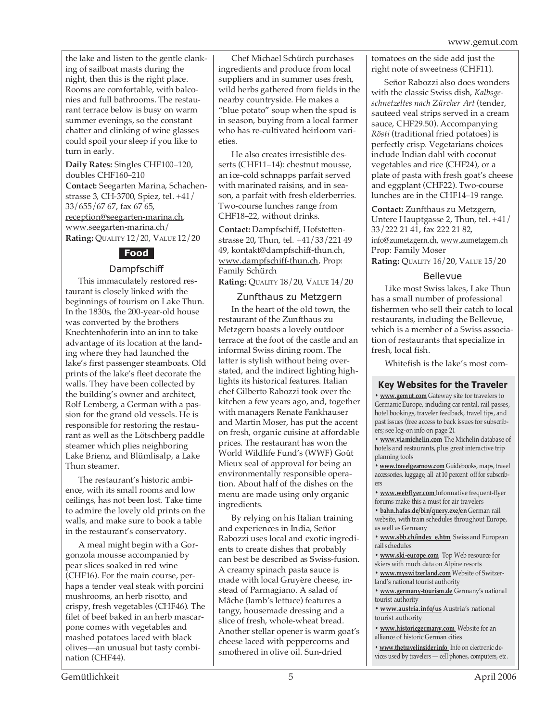the lake and listen to the gentle clanking of sailboat masts during the night, then this is the right place. Rooms are comfortable, with balconies and full bathrooms. The restaurant terrace below is busy on warm summer evenings, so the constant chatter and clinking of wine glasses could spoil your sleep if you like to turn in early.

**Daily Rates:** Singles CHF100–120, doubles CHF160–210

**Contact:** Seegarten Marina, Schachenstrasse 3, CH-3700, Spiez, tel. +41/ 33/655/67 67, fax 67 65, reception@seegarten-marina.ch, www.seegarten-marina.ch/ **Rating:** QUALITY 12/20, VALUE 12/20

## **Food**

## Dampfschiff

This immaculately restored restaurant is closely linked with the beginnings of tourism on Lake Thun. In the 1830s, the 200-year-old house was converted by the brothers Knechtenhoferin into an inn to take advantage of its location at the landing where they had launched the lake's first passenger steamboats. Old prints of the lake's fleet decorate the walls. They have been collected by the building's owner and architect, Rolf Lemberg, a German with a passion for the grand old vessels. He is responsible for restoring the restaurant as well as the Lötschberg paddle steamer which plies neighboring Lake Brienz, and Blümlisalp, a Lake Thun steamer.

The restaurant's historic ambience, with its small rooms and low ceilings, has not been lost. Take time to admire the lovely old prints on the walls, and make sure to book a table in the restaurant's conservatory.

A meal might begin with a Gorgonzola mousse accompanied by pear slices soaked in red wine (CHF16). For the main course, perhaps a tender veal steak with porcini mushrooms, an herb risotto, and crispy, fresh vegetables (CHF46). The filet of beef baked in an herb mascarpone comes with vegetables and mashed potatoes laced with black olives—an unusual but tasty combination (CHF44).

Chef Michael Schürch purchases ingredients and produce from local suppliers and in summer uses fresh, wild herbs gathered from fields in the nearby countryside. He makes a "blue potato" soup when the spud is in season, buying from a local farmer who has re-cultivated heirloom varieties.

He also creates irresistible desserts (CHF11–14): chestnut mousse, an ice-cold schnapps parfait served with marinated raisins, and in season, a parfait with fresh elderberries. Two-course lunches range from CHF18–22, without drinks.

**Contact:** Dampfschiff, Hofstettenstrasse 20**,** Thun, tel. +41/33/221 49 49, kontakt@dampfschiff-thun.ch, www.dampfschiff-thun.ch, Prop: Family Schürch

**Rating:** QUALITY 18/20, VALUE 14/20

## Zunfthaus zu Metzgern

In the heart of the old town, the restaurant of the Zunfthaus zu Metzgern boasts a lovely outdoor terrace at the foot of the castle and an informal Swiss dining room. The latter is stylish without being overstated, and the indirect lighting highlights its historical features. Italian chef Gilberto Rabozzi took over the kitchen a few years ago, and, together with managers Renate Fankhauser and Martin Moser, has put the accent on fresh, organic cuisine at affordable prices. The restaurant has won the World Wildlife Fund's (WWF) Goût Mieux seal of approval for being an environmentally responsible operation. About half of the dishes on the menu are made using only organic ingredients.

By relying on his Italian training and experiences in India, Señor Rabozzi uses local and exotic ingredients to create dishes that probably can best be described as Swiss-fusion. A creamy spinach pasta sauce is made with local Gruyère cheese, instead of Parmagiano. A salad of Mâche (lamb's lettuce) features a tangy, housemade dressing and a slice of fresh, whole-wheat bread. Another stellar opener is warm goat's cheese laced with peppercorns and smothered in olive oil. Sun-dried

tomatoes on the side add just the right note of sweetness (CHF11).

Señor Rabozzi also does wonders with the classic Swiss dish, *Kalbsgeschnetzeltes nach Zürcher Art* (tender, sauteed veal strips served in a cream sauce, CHF29.50). Accompanying *Rösti* (traditional fried potatoes) is perfectly crisp. Vegetarians choices include Indian dahl with coconut vegetables and rice (CHF24), or a plate of pasta with fresh goat's cheese and eggplant (CHF22). Two-course lunches are in the CHF14–19 range.

**Contact:** Zunfthaus zu Metzgern, Untere Hauptgasse 2, Thun, tel. +41/ 33/222 21 41, fax 222 21 82, info@zumetzgern.ch, www.zumetzgern.ch Prop: Family Moser **Rating:** QUALITY 16/20, VALUE 15/20

## Bellevue

Like most Swiss lakes, Lake Thun has a small number of professional fishermen who sell their catch to local restaurants, including the Bellevue, which is a member of a Swiss association of restaurants that specialize in fresh, local fish.

Whitefish is the lake's most com-

## **Key Websites for the Traveler**

**• www.gemut.com** Gateway site for travelers to Germanic Europe, including car rental, rail passes, hotel bookings, traveler feedback, travel tips, and past issues (free access to back issues for subscribers; see log-on info on page 2).

**• www.viamichelin.com** The Michelin database of hotels and restaurants, plus great interactive trip planning tools

**• www.travelgearnow.com** Guidebooks, maps, travel accessories, luggage, all at 10 percent off for subscribers

**• www.webflyer.com** Informative frequent-flyer forums make this a must for air travelers

**• bahn.hafas.de/bin/query.exe/en** German rail website, with train schedules throughout Europe, as well as Germany

**• www.sbb.ch/index\_e.htm** Swiss and European rail schedules

**• www.ski-europe.com** Top Web resource for skiers with much data on Alpine resorts

**• www.myswitzerland.com** Website of Switzerland's national tourist authority

**• www.germany-tourism.de** Germany's national tourist authority

**• www.austria.info/us** Austria's national tourist authority

**• www.historicgermany.com** Website for an alliance of historic German cities

**• www.thetravelinsider.info** Info on electronic devices used by travelers — cell phones, computers, etc.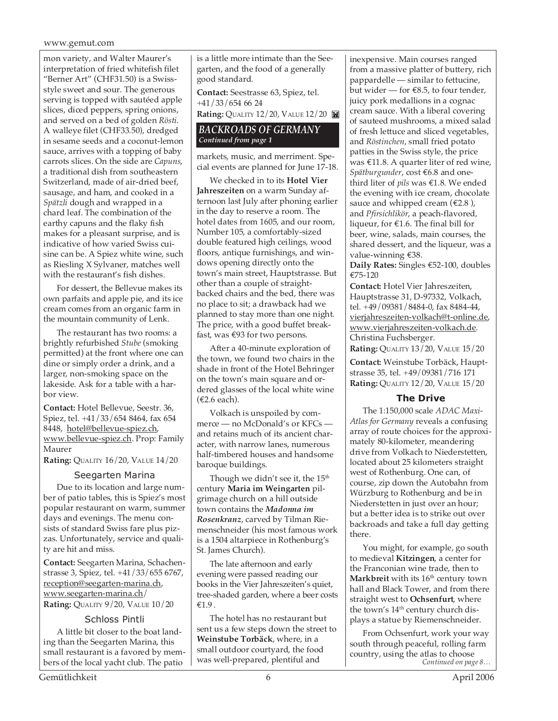mon variety, and Walter Maurer's interpretation of fried whitefish filet "Berner Art" (CHF31.50) is a Swissstyle sweet and sour. The generous serving is topped with sautéed apple slices, diced peppers, spring onions, and served on a bed of golden *Rösti*. A walleye filet (CHF33.50), dredged in sesame seeds and a coconut-lemon sauce, arrives with a topping of baby carrots slices. On the side are *Capuns*, a traditional dish from southeastern Switzerland, made of air-dried beef, sausage, and ham, and cooked in a *Spätzli* dough and wrapped in a chard leaf. The combination of the earthy capuns and the flaky fish makes for a pleasant surprise, and is indicative of how varied Swiss cuisine can be. A Spiez white wine, such as Riesling X Sylvaner, matches well with the restaurant's fish dishes.

For dessert, the Bellevue makes its own parfaits and apple pie, and its ice cream comes from an organic farm in the mountain community of Lenk.

The restaurant has two rooms: a brightly refurbished *Stube* (smoking permitted) at the front where one can dine or simply order a drink, and a larger, non-smoking space on the lakeside. Ask for a table with a harbor view.

**Contact:** Hotel Bellevue, Seestr. 36, Spiez, tel. +41/33/654 8464, fax 654 8448, hotel@bellevue-spiez.ch, www.bellevue-spiez.ch. Prop: Family Maurer

**Rating:** QUALITY 16/20, VALUE 14/20

## Seegarten Marina

Due to its location and large number of patio tables, this is Spiez's most popular restaurant on warm, summer days and evenings. The menu consists of standard Swiss fare plus pizzas. Unfortunately, service and quality are hit and miss.

**Contact:** Seegarten Marina, Schachenstrasse 3, Spiez, tel. +41/33/655 6767, reception@seegarten-marina.ch, www.seegarten-marina.ch/ **Rating:** QUALITY 9/20, VALUE 10/20

## Schloss Pintli

A little bit closer to the boat landing than the Seegarten Marina, this small restaurant is a favored by members of the local yacht club. The patio

is a little more intimate than the Seegarten, and the food of a generally good standard.

**Contact:** Seestrasse 63, Spiez, tel. +41/33/654 66 24

**Rating:** QUALITY 12/20, VALUE 12/20

## *BACKROADS OF GERMANY Continued from page 1*

markets, music, and merriment. Special events are planned for June 17-18.

We checked in to its **Hotel Vier Jahreszeiten** on a warm Sunday afternoon last July after phoning earlier in the day to reserve a room. The hotel dates from 1605, and our room, Number 105, a comfortably-sized double featured high ceilings, wood floors, antique furnishings, and windows opening directly onto the town's main street, Hauptstrasse. But other than a couple of straightbacked chairs and the bed, there was no place to sit; a drawback had we planned to stay more than one night. The price, with a good buffet breakfast, was €93 for two persons.

After a 40-minute exploration of the town, we found two chairs in the shade in front of the Hotel Behringer on the town's main square and ordered glasses of the local white wine (€2.6 each).

Volkach is unspoiled by commerce — no McDonald's or KFCs and retains much of its ancient character, with narrow lanes, numerous half-timbered houses and handsome baroque buildings.

Though we didn't see it, the  $15<sup>th</sup>$ century **Maria im Weingarten** pilgrimage church on a hill outside town contains the *Madonna im Rosenkranz*, carved by Tilman Riemenschneider (his most famous work is a 1504 altarpiece in Rothenburg's St. James Church).

The late afternoon and early evening were passed reading our books in the Vier Jahreszeiten's quiet, tree-shaded garden, where a beer costs €1.9 .

The hotel has no restaurant but sent us a few steps down the street to **Weinstube Torbäck**, where, in a small outdoor courtyard, the food was well-prepared, plentiful and

inexpensive. Main courses ranged from a massive platter of buttery, rich pappardelle — similar to fettucine, but wider — for  $€8.5$ , to four tender, juicy pork medallions in a cognac cream sauce. With a liberal covering of sauteed mushrooms, a mixed salad of fresh lettuce and sliced vegetables, and *Röstinchen*, small fried potato patties in the Swiss style, the price was €11.8. A quarter liter of red wine, *Spätburgunder*, cost €6.8 and onethird liter of *pils* was €1.8. We ended the evening with ice cream, chocolate sauce and whipped cream ( $\epsilon$ 2.8), and *Pfirsichlikör*, a peach-flavored, liqueur, for €1.6. The final bill for beer, wine, salads, main courses, the shared dessert, and the liqueur, was a value-winning €38.

**Daily Rates:** Singles €52-100, doubles €75-120

**Contact:** Hotel Vier Jahreszeiten, Hauptstrasse 31, D-97332, Volkach, tel. +49/09381/8484-0, fax 8484-44, vierjahreszeiten-volkach@t-online.de, www.vierjahreszeiten-volkach.de. Christina Fuchsberger.

**Rating:** QUALITY 13/20, VALUE 15/20

**Contact:** Weinstube Torbäck, Hauptstrasse 35, tel. +49/09381/716 171 **Rating:** QUALITY 12/20, VALUE 15/20

## **The Drive**

The 1:150,000 scale *ADAC Maxi-Atlas for Germany* reveals a confusing array of route choices for the approximately 80-kilometer, meandering drive from Volkach to Niederstetten, located about 25 kilometers straight west of Rothenburg. One can, of course, zip down the Autobahn from Würzburg to Rothenburg and be in Niederstetten in just over an hour; but a better idea is to strike out over backroads and take a full day getting there.

You might, for example, go south to medieval **Kitzingen**, a center for the Franconian wine trade, then to **Markbreit** with its 16<sup>th</sup> century town hall and Black Tower, and from there straight west to **Ochsenfurt**, where the town's 14<sup>th</sup> century church displays a statue by Riemenschneider.

From Ochsenfurt, work your way south through peaceful, rolling farm country, using the atlas to choose *Continued on page 8…*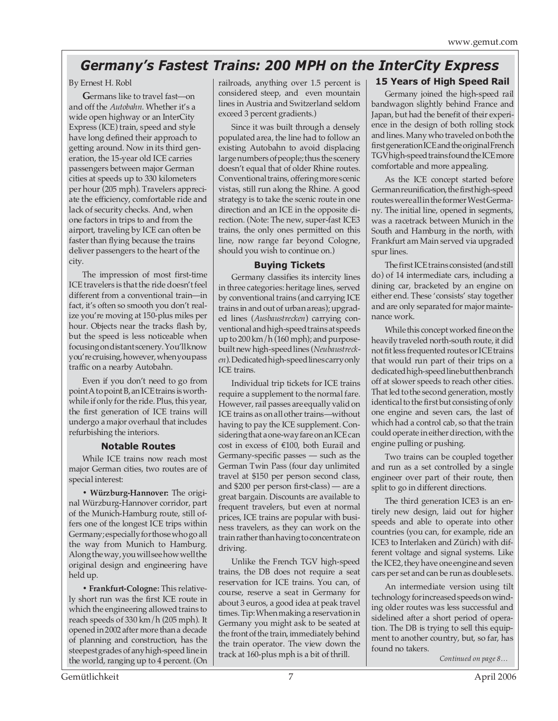## *Germany's Fastest Trains: 200 MPH on the InterCity Express*

## By Ernest H. Robl

**G**ermans like to travel fast—on and off the *Autobahn*. Whether it's a wide open highway or an InterCity Express (ICE) train, speed and style have long defined their approach to getting around. Now in its third generation, the 15-year old ICE carries passengers between major German cities at speeds up to 330 kilometers per hour (205 mph). Travelers appreciate the efficiency, comfortable ride and lack of security checks. And, when one factors in trips to and from the airport, traveling by ICE can often be faster than flying because the trains deliver passengers to the heart of the city.

The impression of most first-time ICE travelers is that the ride doesn't feel different from a conventional train—in fact, it's often so smooth you don't realize you're moving at 150-plus miles per hour. Objects near the tracks flash by, but the speed is less noticeable when focusing on distant scenery. You'll know you're cruising, however, when you pass traffic on a nearby Autobahn.

Even if you don't need to go from point A to point B, an ICE trains is worthwhile if only for the ride. Plus, this year, the first generation of ICE trains will undergo a major overhaul that includes refurbishing the interiors.

## **Notable Routes**

While ICE trains now reach most major German cities, two routes are of special interest:

**• Würzburg-Hannover:** The original Würzburg-Hannover corridor, part of the Munich-Hamburg route, still offers one of the longest ICE trips within Germany; especially for those who go all the way from Munich to Hamburg. Along the way, you will see how well the original design and engineering have held up.

**• Frankfurt-Cologne:** This relatively short run was the first ICE route in which the engineering allowed trains to reach speeds of 330 km/h (205 mph). It opened in 2002 after more than a decade of planning and construction, has the steepest grades of any high-speed line in the world, ranging up to 4 percent. (On

railroads, anything over 1.5 percent is considered steep, and even mountain lines in Austria and Switzerland seldom exceed 3 percent gradients.)

Since it was built through a densely populated area, the line had to follow an existing Autobahn to avoid displacing large numbers of people; thus the scenery doesn't equal that of older Rhine routes. Conventional trains, offering more scenic vistas, still run along the Rhine. A good strategy is to take the scenic route in one direction and an ICE in the opposite direction. (Note: The new, super-fast ICE3 trains, the only ones permitted on this line, now range far beyond Cologne, should you wish to continue on.)

## **Buying Tickets**

Germany classifies its intercity lines in three categories: heritage lines, served by conventional trains (and carrying ICE trains in and out of urban areas); upgraded lines (*Ausbaustrecken*) carrying conventional and high-speed trains at speeds up to 200 km/h (160 mph); and purposebuilt new high-speed lines (*Neubaustrecken*). Dedicated high-speed lines carry only ICE trains.

Individual trip tickets for ICE trains require a supplement to the normal fare. However, rail passes are equally valid on ICE trains as on all other trains—without having to pay the ICE supplement. Considering that a one-way fare on an ICE can cost in excess of €100, both Eurail and Germany-specific passes — such as the German Twin Pass (four day unlimited travel at \$150 per person second class, and \$200 per person first-class) — are a great bargain. Discounts are available to frequent travelers, but even at normal prices, ICE trains are popular with business travelers, as they can work on the train rather than having to concentrate on driving.

Unlike the French TGV high-speed trains, the DB does not require a seat reservation for ICE trains. You can, of course, reserve a seat in Germany for about 3 euros, a good idea at peak travel times. Tip: When making a reservation in Germany you might ask to be seated at the front of the train, immediately behind the train operator. The view down the track at 160-plus mph is a bit of thrill.

## **15 Years of High Speed Rail**

Germany joined the high-speed rail bandwagon slightly behind France and Japan, but had the benefit of their experience in the design of both rolling stock and lines. Many who traveled on both the first generation ICE and the original French TGV high-speed trains found the ICE more comfortable and more appealing.

As the ICE concept started before German reunification, the first high-speed routes were all in the former West Germany. The initial line, opened in segments, was a racetrack between Munich in the South and Hamburg in the north, with Frankfurt am Main served via upgraded spur lines.

The first ICE trains consisted (and still do) of 14 intermediate cars, including a dining car, bracketed by an engine on either end. These 'consists' stay together and are only separated for major maintenance work.

While this concept worked fine on the heavily traveled north-south route, it did not fit less frequented routes or ICE trains that would run part of their trips on a dedicated high-speed line but then branch off at slower speeds to reach other cities. That led to the second generation, mostly identical to the first but consisting of only one engine and seven cars, the last of which had a control cab, so that the train could operate in either direction, with the engine pulling or pushing.

Two trains can be coupled together and run as a set controlled by a single engineer over part of their route, then split to go in different directions.

The third generation ICE3 is an entirely new design, laid out for higher speeds and able to operate into other countries (you can, for example, ride an ICE3 to Interlaken and Zürich) with different voltage and signal systems. Like the ICE2, they have one engine and seven cars per set and can be run as double sets.

An intermediate version using tilt technology for increased speeds on winding older routes was less successful and sidelined after a short period of operation. The DB is trying to sell this equipment to another country, but, so far, has found no takers.

*Continued on page 8…*